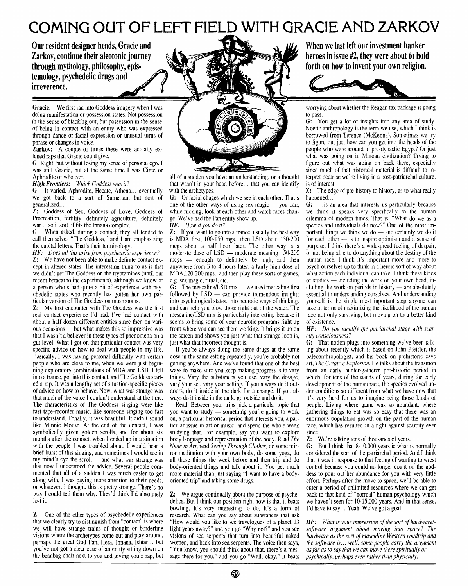## **COMING OUT OF LEFT FIELD WITH GRACIE AND ZARKOV**

**Our resident designer heads, Gracie and Zarkov, continue their aleotonic journey through mythology, philosophy, epistemology, psychedelic drugs and irreverence.** 

Gracie: We first ran into Goddess imagery when I was doing manifestation or possession states. Not possession in the sense of blacking out, but possession in the sense of being in contact with an entity who was expressed through dance or facial expression or unusual turns of phrase or changes in voice.

**Zarkov:** A couple of times these were actually extened raps that Gracie could give.

G: Right, but without losing my sense of personal ego. I was still Gracie, but at the same time I was Circe or Aphrodite or whoever.

*High Frontiers: Which Goddess was it?* 

G: It varied. Aphrodite, Hecate, Athena... eventually we got back to a sort of Sumerian, but sort of generalized ...

Z: Goddess of Sex, Goddess of Love, Goddess of Procreation, fertility, definitely agriculture, definitely war... so it sort of fits the Innana complex.

G: When asked, during a contact, they all tended to call themselves "The Goddess," and I am emphasizing the capital letters. That's their terminology.

HF: *Does all this arise from psychedelic experience?*  Z: We have not been able to make definite contact except in altered states. The interesting thing to us is that we didn't get The Goddess on the tryptamines (until our recent betacarboline experiments), although we know of a person who's had quite a bit of experience with psychedelic states who recently has gotten her own particular version of The Goddess on mushrooms.

Z: My first encounter with The Goddess was the first real contact experience I'd had. I've had contact with about a half dozen different entities since then on various occasions - but what makes this so impressive was that I wasn't a believer in these types of phenomena on a gut level. What I got on that particular contact was very specific advice on how to deal with people in my life. Basically, I was having personal difficulty with certain people who are close to me, when we were just beginning exploratory combinations of MDA and LSD. I fell into a trance, got into this contact, and The Goddess started a rap. It was a lengthy set of situation-specific pieces of advice on how to behave. Now, what was strange was that much of the voice I couldn't understand at the time. The characteristics of The Goddess singing were like fast tape-recorder music, like someone singing too fast to understand. Tonally, it was beautiful. It didn't sound like Minnie Mouse. At the end of the contact, I was symbolically given golden scrolls, and for about six months after the contact, when I ended up in a situation with the people I was troubled about,  $\vec{l}$  would hear a brief burst of this singing, and sometimes I would see in my mind's eye the  $\text{scri} =$  and what was strange was that now I understood the advice. Several people commented that all of a sudden I was much easier to get along with, I was paying more attention to their needs, or whatever. I thought, this is pretty strange. There's no way I could tell them why. They'd think I'd absolutely lost it.

Z: One of the other types of psychedelic experiences that we clearly try to distinguish from "contact" is where we will have strange trains of thought or borderline visions where the archetypes come out and play around, perhaps the great God Pan, Hera, Innana, Ishtar... but you've not got a clear case of an entity sitting down on the beanbag chair next to you and giving you a rap, but



all of a sudden you have an understanding, or a thought that wasn't in your head before ... that you can identify with the archetypes.

G: Or facial chages which we see in each other. That's one of the other ways of using sex magic  $-$  you can, while fucking, look at each other and watch faces change. We've had the Pan entity show up.

HF: *How'd you do it?* 

Z: If you want to go into a trance, usually the best way is MDA first, 100-150 mgs., then LSD about 150-200 mcgs about a half hour later. The other way is a moderate dose of  $LSD$  - moderate meaning 150-200 mcgs - enough to definitely be high, and then anywhere from 3 to 4 hours later, a fairly high dose of MDA,120-200 mgs., and then play these sorts of games, e.g. sex magic, ritual, etc.

 $G:$  The mescaline/LSD mix — we used mescaline first followed by  $LSD$  - can provide tremendous insights into psychological states, into neurotic ways of thinking, and can help you blow those right out of the water. The mescaline/LSD mix is particularly interesting because it seems to bring some of your neurotic programs right up front where you can see them working. It brings it up on the screen and shows you just what that strange loop is, just what that incorrect thought is.

If you're always doing the same drugs at the same dose in the same setting repeatedly, you're probably not getting anywhere. And we've found that one of the best ways to make sure you keep making progress is to vary things. Vary the substances you use, vary the dosage, vary your set, vary your setting. If you always do it outdoors, do it inside in the dark for a change. If you always do it inside in the dark, go outside and do it.

Read. Between your trips pick a particular topic that you want to study - something you're going to work on, a particular historical period that interests you, a particular issue in art or music, and spend the whole week studying that. For example, say you want to explore body language and representation of the body. Read *The Nude in Art,* read *Seeing Through Clothes,* do some mirror meditation with your own body, do some yoga, do all those things the week before and then trip and do body-oriented things and talk about it. You get much more material than just saying "I want to have a bodyoriented trip" and taking some drugs.

Z: We argue continually about the purpose of psychedelics. But I think our position right now is that it beats bowling. It's very interesting to do. It's a form of research. What can you say about substances that ask "How would you like to see travelogues of a planet 13 light years away?" and you go "Why not?" and you see visions of sea serpents that tum into beautiful naked women, and back into sea serpents. The voice then says, "You know, you should think about that, there's a message there for you," and you go "Well, okay." It beats

**When we last left our investment banker heroes in issue #2, they were about to hold forth on how to invent your own religion.** 



worrying about whether the Reagan tax package is going to pass.

G: You get a lot of insights into any area of study. Noetic anthropology is the term we use, which I think is borrowed from Terence (McKenna). Sometimes we try to figure out just how can you get into the heads of the people who were around in pre-dynastic Egypt? Or just what was going on in Minoan civilization? Trying to figure out what was going on back there, especially since much of that historical material is difficult to interpret because we're living in a post-patriarchal culture, is of interest.

Z: The edge of pre-history to history, as to what really happened...

G: ... is an area that interests us particularly because we think it speaks very specifically to the human dilemma of modem times. That is, "What do we as a species and individuals do now?" One of the most important things we think we do  $-$  and certainly we do it for each other  $-$  is to inspire optimism and a sense of purpose. I think there's a widespread feeling of despair, of not being able to do anything about the destiny of the human race. I think it's important more and more to psych ourselves up to think in a heroic sort of way about what action each individual can take. I think these kinds of studies  $-$  including the work on your own head, including the work on periods in history  $-$  are absolutely essential to understanding ourselves. And understanding yourself is the single most inportant step anyone can take in terms of maximizing the likelihood of the human race not only surviving, but moving on to a better kind of existence.

HF: *Do you identify the patriarcnal stage with scarcity consciousness?* 

G: That notion plugs into something we've been talking about recently which is based on John Pfeiffer, the paleoanthropologist, and his book on prehistoric cave art, *The Creative Explosion*. He talks about the transition from an early hunter-gatherer pre-historic period in which, for tens of thousands of years, during the early development of the human race, the species evolved under conditions so different from what we have now that it's very hard for us to imagine being those kinds of people. Living where game was so abundant, where gathering things to eat was so easy that there was an enormous population growth on the part of the human race, which has resulted in a fight against scarcity ever smce.

Z: We're talking tens of thousands of years.

G: But I think that 8-10,000 years is what is normally considered the start of the patriarchal period. And I think that it was in response to that feeling of wanting to wrest control because you could no longer count on the goddess to pour out her abundance for you with very little effort. Perhaps after the move to space, we'll be able to enter a period of unlimited resources where we can get back to that kind of "normal" human psychology which we haven't seen for 10-15,000 years. And in that sense, I'd have to say... Yeah. We've got a goal.

HF: *What* is *your impression of the sort of hardware/* software argument about moving into space? The *hardware as the sort of masculine Western roadtrip and the software* is ... *well, some people carry the argument as far as to say that we can mOl'e there spiritually or psychically, perhaps even rather than physically.*